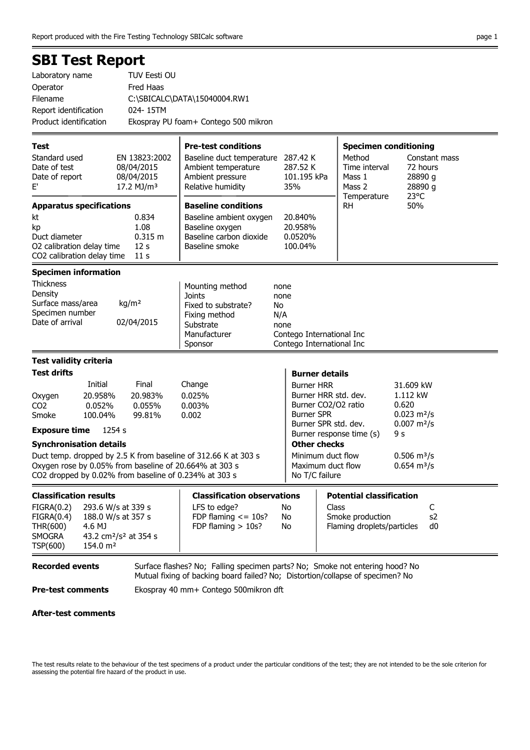## SBI Test Report

| Laboratory name        | TUV Eesti OU                         |
|------------------------|--------------------------------------|
| Operator               | Fred Haas                            |
| Filename               | C:\SBICALC\DATA\15040004.RW1         |
| Report identification  | 024-15TM                             |
| Product identification | Ekospray PU foam+ Contego 500 mikron |

| Test<br>Standard used<br>Date of test<br>Date of report<br>$\mathsf{E}^{\prime}$                                                                    | EN 13823:2002<br>08/04/2015<br>08/04/2015<br>17.2 MJ/m <sup>3</sup>                                                                                                                                                                                                            | <b>Pre-test conditions</b><br>Baseline duct temperature 287.42 K<br>Ambient temperature<br>Ambient pressure<br>Relative humidity | 287.52 K<br>101.195 kPa<br>35%                                                                                                                                                                                            | <b>Specimen conditioning</b><br>Method<br>Constant mass<br>Time interval<br>72 hours<br>28890 g<br>Mass 1<br>Mass 2<br>28890 g<br>23°C                                                   |
|-----------------------------------------------------------------------------------------------------------------------------------------------------|--------------------------------------------------------------------------------------------------------------------------------------------------------------------------------------------------------------------------------------------------------------------------------|----------------------------------------------------------------------------------------------------------------------------------|---------------------------------------------------------------------------------------------------------------------------------------------------------------------------------------------------------------------------|------------------------------------------------------------------------------------------------------------------------------------------------------------------------------------------|
| <b>Apparatus specifications</b><br>kt<br>kp<br>Duct diameter<br>O2 calibration delay time<br>CO2 calibration delay time                             | 0.834<br>1.08<br>0.315 m<br>12 <sub>s</sub><br>11 <sub>s</sub>                                                                                                                                                                                                                 | <b>Baseline conditions</b><br>Baseline ambient oxygen<br>Baseline oxygen<br>Baseline carbon dioxide<br>Baseline smoke            | 20.840%<br>20.958%<br>0.0520%<br>100.04%                                                                                                                                                                                  | Temperature<br>50%<br><b>RH</b>                                                                                                                                                          |
| <b>Specimen information</b><br><b>Thickness</b><br>Density<br>Surface mass/area<br>Specimen number<br>Date of arrival                               | kg/m <sup>2</sup><br>02/04/2015                                                                                                                                                                                                                                                | Mounting method<br><b>Joints</b><br>Fixed to substrate?<br>No<br>Fixing method<br>Substrate<br>Manufacturer<br>Sponsor           | none<br>none<br>N/A<br>none<br>Contego International Inc<br>Contego International Inc                                                                                                                                     |                                                                                                                                                                                          |
| <b>Test validity criteria</b><br><b>Test drifts</b><br>Oxygen<br>CO <sub>2</sub><br>Smoke<br><b>Exposure time</b><br><b>Synchronisation details</b> | Initial<br>Final<br>20.983%<br>20.958%<br>0.052%<br>0.055%<br>100.04%<br>99.81%<br>1254 s<br>Duct temp. dropped by 2.5 K from baseline of 312.66 K at 303 s<br>Oxygen rose by 0.05% from baseline of 20.664% at 303 s<br>CO2 dropped by 0.02% from baseline of 0.234% at 303 s | Change<br>0.025%<br>0.003%<br>0.002                                                                                              | <b>Burner details</b><br><b>Burner HRR</b><br>Burner HRR std. dev.<br>Burner CO2/O2 ratio<br><b>Burner SPR</b><br>Burner SPR std. dev.<br><b>Other checks</b><br>Minimum duct flow<br>Maximum duct flow<br>No T/C failure | 31.609 kW<br>1.112 kW<br>0.620<br>$0.023$ m <sup>2</sup> /s<br>$0.007$ m <sup>2</sup> /s<br>Burner response time (s)<br>9 s<br>$0.506$ m <sup>3</sup> /s<br>$0.654 \text{ m}^3/\text{s}$ |
| <b>Classification results</b><br>FIGRA(0.2)<br>FIGRA(0.4)<br>THR(600)<br><b>SMOGRA</b><br>TSP(600)                                                  | 293.6 W/s at 339 s<br>188.0 W/s at 357 s<br>4.6 MJ<br>43.2 cm <sup>2</sup> /s <sup>2</sup> at 354 s<br>154.0 m <sup>2</sup>                                                                                                                                                    | <b>Classification observations</b><br>LFS to edge?<br>FDP flaming $\le$ = 10s?<br>FDP flaming $> 10s$ ?                          | No<br>No<br>No                                                                                                                                                                                                            | <b>Potential classification</b><br>Class<br>C<br>Smoke production<br>s <sub>2</sub><br>d0<br>Flaming droplets/particles                                                                  |

Recorded events Surface flashes? No; Falling specimen parts? No; Smoke not entering hood? No Mutual fixing of backing board failed? No; Distortion/collapse of specimen? No

Pre-test comments Ekospray 40 mm+ Contego 500mikron dft

### After-test comments

The test results relate to the behaviour of the test specimens of a product under the particular conditions of the test; they are not intended to be the sole criterion for assessing the potential fire hazard of the product in use.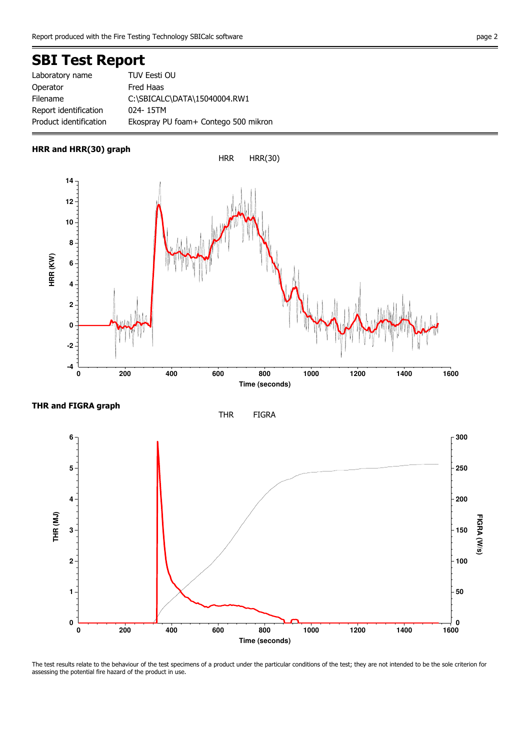# SBI Test Report

| Laboratory name        | TUV Eesti OU                         |
|------------------------|--------------------------------------|
| Operator               | Fred Haas                            |
| Filename               | C:\SBICALC\DATA\15040004.RW1         |
| Report identification  | 024-15TM                             |
| Product identification | Ekospray PU foam+ Contego 500 mikron |

#### HRR and HRR(30) graph









The test results relate to the behaviour of the test specimens of a product under the particular conditions of the test; they are not intended to be the sole criterion for assessing the potential fire hazard of the product in use.